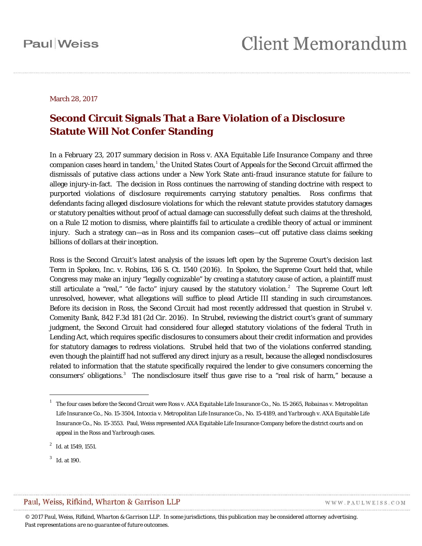#### March 28, 2017

### **Second Circuit Signals That a Bare Violation of a Disclosure Statute Will Not Confer Standing**

In a February 23, 2017 summary decision in *Ross* v. *AXA Equitable Life Insurance Company* and three companion cases heard in tandem,<sup>[1](#page-0-0)</sup> the United States Court of Appeals for the Second Circuit affirmed the dismissals of putative class actions under a New York State anti-fraud insurance statute for failure to allege injury-in-fact. The decision in *Ross* continues the narrowing of standing doctrine with respect to purported violations of disclosure requirements carrying statutory penalties. *Ross* confirms that defendants facing alleged disclosure violations for which the relevant statute provides statutory damages or statutory penalties without proof of actual damage can successfully defeat such claims at the threshold, on a Rule 12 motion to dismiss, where plaintiffs fail to articulate a credible theory of actual or imminent injury. Such a strategy can—as in *Ross* and its companion cases—cut off putative class claims seeking billions of dollars at their inception.

*Ross* is the Second Circuit's latest analysis of the issues left open by the Supreme Court's decision last Term in *Spokeo, Inc.* v. *Robins*, 136 S. Ct. 1540 (2016). In *Spokeo*, the Supreme Court held that, while Congress may make an injury "legally cognizable" by creating a statutory cause of action, a plaintiff must still articulate a "real," "*de facto*" injury caused by the statutory violation.<sup>[2](#page-0-1)</sup> The Supreme Court left unresolved, however, what allegations will suffice to plead Article III standing in such circumstances. Before its decision in *Ross*, the Second Circuit had most recently addressed that question in *Strubel* v. *Comenity Bank*, 842 F.3d 181 (2d Cir. 2016). In *Strubel*, reviewing the district court's grant of summary judgment, the Second Circuit had considered four alleged statutory violations of the federal Truth in Lending Act, which requires specific disclosures to consumers about their credit information and provides for statutory damages to redress violations. *Strubel* held that two of the violations conferred standing, even though the plaintiff had not suffered any direct injury as a result, because the alleged nondisclosures related to information that the statute specifically required the lender to give consumers concerning the consumers' obligations.<sup>[3](#page-0-2)</sup> The nondisclosure itself thus gave rise to a "real risk of harm," because a

 $\overline{a}$ 

#### <span id="page-0-2"></span>Paul, Weiss, Rifkind, Wharton & Garrison LLP

WWW.PAULWEISS.COM

<span id="page-0-0"></span><sup>1</sup> The four cases before the Second Circuit were *Ross* v. *AXA Equitable Life Insurance Co.*, No. 15-2665, *Robainas* v. *Metropolitan Life Insurance Co.*, No. 15-3504, *Intoccia* v. *Metropolitan Life Insurance Co.*, No. 15-4189, and *Yarbrough* v. *AXA Equitable Life Insurance Co.*, No. 15-3553. Paul, Weiss represented AXA Equitable Life Insurance Company before the district courts and on appeal in the *Ross* and *Yarbrough* cases.

<span id="page-0-1"></span><sup>2</sup> *Id.* at 1549, 1551.

<sup>3</sup> *Id.* at 190.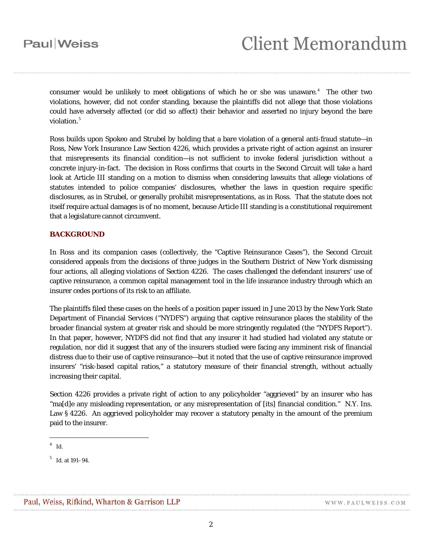consumer would be unlikely to meet obligations of which he or she was unaware. $4$  The other two violations, however, did not confer standing, because the plaintiffs did not allege that those violations could have adversely affected (or did so affect) their behavior and asserted no injury beyond the bare violation.<sup>[5](#page-1-1)</sup>

*Ross* builds upon *Spokeo* and *Strubel* by holding that a bare violation of a general anti-fraud statute—in *Ross*, New York Insurance Law Section 4226, which provides a private right of action against an insurer that misrepresents its financial condition—is not sufficient to invoke federal jurisdiction without a concrete injury-in-fact. The decision in *Ross* confirms that courts in the Second Circuit will take a hard look at Article III standing on a motion to dismiss when considering lawsuits that allege violations of statutes intended to police companies' disclosures, whether the laws in question require specific disclosures, as in *Strubel*, or generally prohibit misrepresentations, as in *Ross*. That the statute does not itself require actual damages is of no moment, because Article III standing is a constitutional requirement that a legislature cannot circumvent.

#### **BACKGROUND**

In *Ross* and its companion cases (collectively, the "Captive Reinsurance Cases"), the Second Circuit considered appeals from the decisions of three judges in the Southern District of New York dismissing four actions, all alleging violations of Section 4226. The cases challenged the defendant insurers' use of captive reinsurance, a common capital management tool in the life insurance industry through which an insurer cedes portions of its risk to an affiliate.

The plaintiffs filed these cases on the heels of a position paper issued in June 2013 by the New York State Department of Financial Services ("NYDFS") arguing that captive reinsurance places the stability of the broader financial system at greater risk and should be more stringently regulated (the "NYDFS Report"). In that paper, however, NYDFS did not find that any insurer it had studied had violated any statute or regulation, nor did it suggest that any of the insurers studied were facing any imminent risk of financial distress due to their use of captive reinsurance—but it noted that the use of captive reinsurance improved insurers' "risk-based capital ratios," a statutory measure of their financial strength, without actually increasing their capital.

Section 4226 provides a private right of action to any policyholder "aggrieved" by an insurer who has "ma[d]e any misleading representation, or any misrepresentation of [its] financial condition." N.Y. Ins. Law § 4226. An aggrieved policyholder may recover a statutory penalty in the amount of the premium paid to the insurer.

 $\overline{a}$ 

<span id="page-1-0"></span><sup>4</sup> *Id.*

<span id="page-1-1"></span><sup>5</sup> *Id.* at 191–94.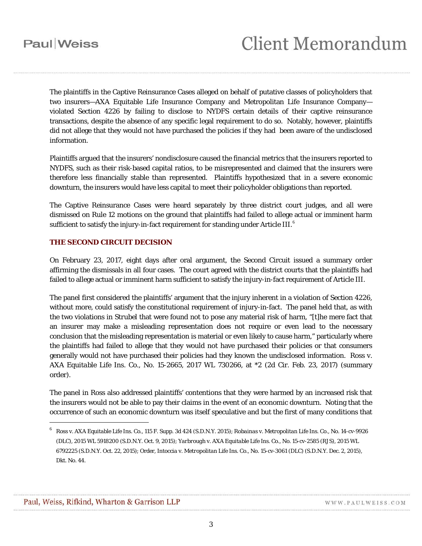The plaintiffs in the Captive Reinsurance Cases alleged on behalf of putative classes of policyholders that two insurers—AXA Equitable Life Insurance Company and Metropolitan Life Insurance Company violated Section 4226 by failing to disclose to NYDFS certain details of their captive reinsurance transactions, despite the absence of any specific legal requirement to do so. Notably, however, plaintiffs did not allege that they would not have purchased the policies if they had been aware of the undisclosed information.

Plaintiffs argued that the insurers' nondisclosure caused the financial metrics that the insurers reported to NYDFS, such as their risk-based capital ratios, to be misrepresented and claimed that the insurers were therefore less financially stable than represented. Plaintiffs hypothesized that in a severe economic downturn, the insurers would have less capital to meet their policyholder obligations than reported.

The Captive Reinsurance Cases were heard separately by three district court judges, and all were dismissed on Rule 12 motions on the ground that plaintiffs had failed to allege actual or imminent harm sufficient to satisfy the injury-in-fact requirement for standing under Article III.  $^6$  $^6$ 

#### **THE SECOND CIRCUIT DECISION**

On February 23, 2017, eight days after oral argument, the Second Circuit issued a summary order affirming the dismissals in all four cases. The court agreed with the district courts that the plaintiffs had failed to allege actual or imminent harm sufficient to satisfy the injury-in-fact requirement of Article III.

The panel first considered the plaintiffs' argument that the injury inherent in a violation of Section 4226, without more, could satisfy the constitutional requirement of injury-in-fact. The panel held that, as with the two violations in *Strubel* that were found not to pose any material risk of harm, "[t]he mere fact that an insurer may make a misleading representation does not require or even lead to the necessary conclusion that the misleading representation is material or even likely to cause harm," particularly where the plaintiffs had failed to allege that they would not have purchased their policies or that consumers generally would not have purchased their policies had they known the undisclosed information. *Ross* v. *AXA Equitable Life Ins. Co.*, No. 15-2665, 2017 WL 730266, at \*2 (2d Cir. Feb. 23, 2017) (summary order).

The panel in *Ross* also addressed plaintiffs' contentions that they were harmed by an increased risk that the insurers would not be able to pay their claims in the event of an economic downturn. Noting that the occurrence of such an economic downturn was itself speculative and but the first of many conditions that

 $\overline{a}$ 

<span id="page-2-0"></span><sup>6</sup> *Ross* v. *AXA Equitable Life Ins. Co.*, 115 F. Supp. 3d 424 (S.D.N.Y. 2015); *Robainas* v. *Metropolitan Life Ins. Co.*, No. 14-cv-9926 (DLC), 2015 WL 5918200 (S.D.N.Y. Oct. 9, 2015); *Yarbrough* v. *AXA Equitable Life Ins. Co.*, No. 15-cv-2585 (RJS), 2015 WL 6792225 (S.D.N.Y. Oct. 22, 2015); Order, *Intoccia* v. *Metropolitan Life Ins. Co.*, No. 15-cv-3061 (DLC) (S.D.N.Y. Dec. 2, 2015), Dkt. No. 44.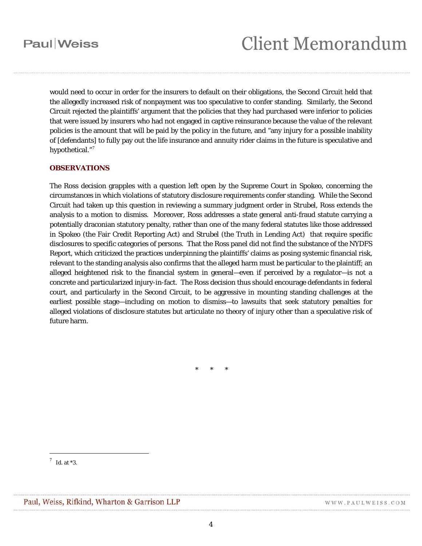## **Paul** Weiss

would need to occur in order for the insurers to default on their obligations, the Second Circuit held that the allegedly increased risk of nonpayment was too speculative to confer standing. Similarly, the Second Circuit rejected the plaintiffs' argument that the policies that they had purchased were inferior to policies that were issued by insurers who had not engaged in captive reinsurance because the value of the relevant policies is the amount that will be paid by the policy in the future, and "any injury for a possible inability of [defendants] to fully pay out the life insurance and annuity rider claims in the future is speculative and hypothetical."<sup>[7](#page-3-0)</sup>

#### **OBSERVATIONS**

The *Ross* decision grapples with a question left open by the Supreme Court in *Spokeo*, concerning the circumstances in which violations of statutory disclosure requirements confer standing. While the Second Circuit had taken up this question in reviewing a summary judgment order in *Strubel*, *Ross* extends the analysis to a motion to dismiss. Moreover, *Ross* addresses a state general anti-fraud statute carrying a potentially draconian statutory penalty, rather than one of the many federal statutes like those addressed in *Spokeo* (the Fair Credit Reporting Act) and *Strubel* (the Truth in Lending Act) that require specific disclosures to specific categories of persons. That the *Ross* panel did not find the substance of the NYDFS Report, which criticized the practices underpinning the plaintiffs' claims as posing systemic financial risk, relevant to the standing analysis also confirms that the alleged harm must be particular to the plaintiff; an alleged heightened risk to the financial system in general—even if perceived by a regulator—is not a concrete and particularized injury-in-fact. The *Ross* decision thus should encourage defendants in federal court, and particularly in the Second Circuit, to be aggressive in mounting standing challenges at the earliest possible stage—including on motion to dismiss—to lawsuits that seek statutory penalties for alleged violations of disclosure statutes but articulate no theory of injury other than a speculative risk of future harm.

\* \* \*

 $\overline{a}$ 

<span id="page-3-0"></span><sup>7</sup> *Id.* at \*3.